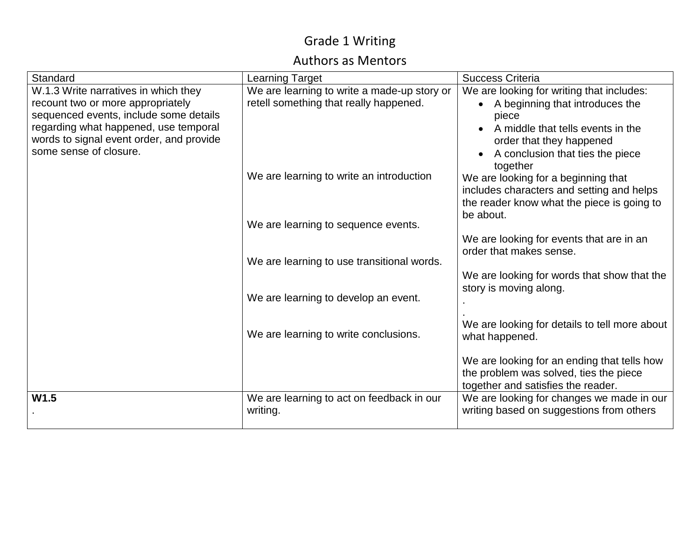#### Authors as Mentors

| Standard                                                           | <b>Learning Target</b>                      | <b>Success Criteria</b>                                                          |
|--------------------------------------------------------------------|---------------------------------------------|----------------------------------------------------------------------------------|
| W.1.3 Write narratives in which they                               | We are learning to write a made-up story or | We are looking for writing that includes:                                        |
| recount two or more appropriately                                  | retell something that really happened.      | A beginning that introduces the                                                  |
| sequenced events, include some details                             |                                             | piece                                                                            |
| regarding what happened, use temporal                              |                                             | A middle that tells events in the                                                |
| words to signal event order, and provide<br>some sense of closure. |                                             | order that they happened                                                         |
|                                                                    |                                             | A conclusion that ties the piece                                                 |
|                                                                    | We are learning to write an introduction    | together                                                                         |
|                                                                    |                                             | We are looking for a beginning that<br>includes characters and setting and helps |
|                                                                    |                                             | the reader know what the piece is going to                                       |
|                                                                    |                                             | be about.                                                                        |
|                                                                    | We are learning to sequence events.         |                                                                                  |
|                                                                    |                                             | We are looking for events that are in an                                         |
|                                                                    |                                             | order that makes sense.                                                          |
|                                                                    | We are learning to use transitional words.  |                                                                                  |
|                                                                    |                                             | We are looking for words that show that the                                      |
|                                                                    | We are learning to develop an event.        | story is moving along.                                                           |
|                                                                    |                                             |                                                                                  |
|                                                                    |                                             | We are looking for details to tell more about                                    |
|                                                                    | We are learning to write conclusions.       | what happened.                                                                   |
|                                                                    |                                             |                                                                                  |
|                                                                    |                                             | We are looking for an ending that tells how                                      |
|                                                                    |                                             | the problem was solved, ties the piece                                           |
|                                                                    |                                             | together and satisfies the reader.                                               |
| W1.5                                                               | We are learning to act on feedback in our   | We are looking for changes we made in our                                        |
|                                                                    | writing.                                    | writing based on suggestions from others                                         |
|                                                                    |                                             |                                                                                  |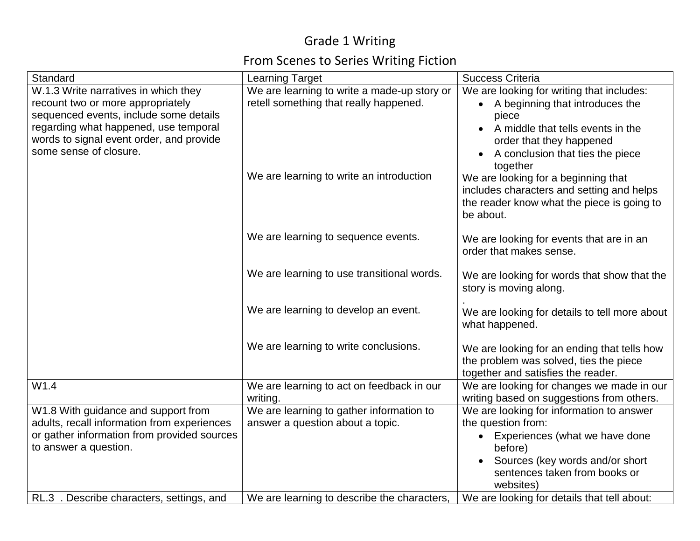# From Scenes to Series Writing Fiction

| Standard                                    | <b>Learning Target</b>                      | <b>Success Criteria</b>                                                                 |
|---------------------------------------------|---------------------------------------------|-----------------------------------------------------------------------------------------|
| W.1.3 Write narratives in which they        | We are learning to write a made-up story or | We are looking for writing that includes:                                               |
| recount two or more appropriately           | retell something that really happened.      | • A beginning that introduces the                                                       |
| sequenced events, include some details      |                                             | piece                                                                                   |
| regarding what happened, use temporal       |                                             | A middle that tells events in the                                                       |
| words to signal event order, and provide    |                                             | order that they happened                                                                |
| some sense of closure.                      |                                             | A conclusion that ties the piece                                                        |
|                                             | We are learning to write an introduction    | together                                                                                |
|                                             |                                             | We are looking for a beginning that                                                     |
|                                             |                                             | includes characters and setting and helps<br>the reader know what the piece is going to |
|                                             |                                             | be about.                                                                               |
|                                             |                                             |                                                                                         |
|                                             | We are learning to sequence events.         | We are looking for events that are in an                                                |
|                                             |                                             | order that makes sense.                                                                 |
|                                             |                                             |                                                                                         |
|                                             | We are learning to use transitional words.  | We are looking for words that show that the                                             |
|                                             |                                             | story is moving along.                                                                  |
|                                             | We are learning to develop an event.        |                                                                                         |
|                                             |                                             | We are looking for details to tell more about<br>what happened.                         |
|                                             |                                             |                                                                                         |
|                                             | We are learning to write conclusions.       | We are looking for an ending that tells how                                             |
|                                             |                                             | the problem was solved, ties the piece                                                  |
|                                             |                                             | together and satisfies the reader.                                                      |
| W1.4                                        | We are learning to act on feedback in our   | We are looking for changes we made in our                                               |
|                                             | writing.                                    | writing based on suggestions from others.                                               |
| W1.8 With guidance and support from         | We are learning to gather information to    | We are looking for information to answer                                                |
| adults, recall information from experiences | answer a question about a topic.            | the question from:                                                                      |
| or gather information from provided sources |                                             | Experiences (what we have done<br>$\bullet$                                             |
| to answer a question.                       |                                             | before)                                                                                 |
|                                             |                                             | Sources (key words and/or short                                                         |
|                                             |                                             | sentences taken from books or<br>websites)                                              |
| RL.3 . Describe characters, settings, and   | We are learning to describe the characters, | We are looking for details that tell about:                                             |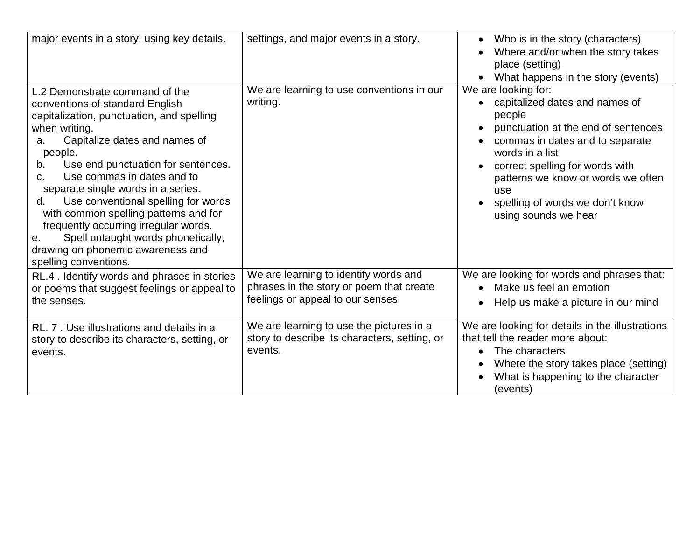| major events in a story, using key details.                                                                                                                                                                                                                                                                                                                                                                                                                                                                                                      | settings, and major events in a story.                                                                                 | Who is in the story (characters)<br>$\bullet$<br>Where and/or when the story takes<br>place (setting)<br>What happens in the story (events)                                                                                                                                                             |
|--------------------------------------------------------------------------------------------------------------------------------------------------------------------------------------------------------------------------------------------------------------------------------------------------------------------------------------------------------------------------------------------------------------------------------------------------------------------------------------------------------------------------------------------------|------------------------------------------------------------------------------------------------------------------------|---------------------------------------------------------------------------------------------------------------------------------------------------------------------------------------------------------------------------------------------------------------------------------------------------------|
| L.2 Demonstrate command of the<br>conventions of standard English<br>capitalization, punctuation, and spelling<br>when writing.<br>Capitalize dates and names of<br>a.<br>people.<br>Use end punctuation for sentences.<br>b.<br>Use commas in dates and to<br>C.<br>separate single words in a series.<br>Use conventional spelling for words<br>d.<br>with common spelling patterns and for<br>frequently occurring irregular words.<br>Spell untaught words phonetically,<br>е.<br>drawing on phonemic awareness and<br>spelling conventions. | We are learning to use conventions in our<br>writing.                                                                  | We are looking for:<br>capitalized dates and names of<br>people<br>punctuation at the end of sentences<br>commas in dates and to separate<br>words in a list<br>correct spelling for words with<br>patterns we know or words we often<br>use<br>spelling of words we don't know<br>using sounds we hear |
| RL.4. Identify words and phrases in stories<br>or poems that suggest feelings or appeal to<br>the senses.                                                                                                                                                                                                                                                                                                                                                                                                                                        | We are learning to identify words and<br>phrases in the story or poem that create<br>feelings or appeal to our senses. | We are looking for words and phrases that:<br>Make us feel an emotion<br>Help us make a picture in our mind                                                                                                                                                                                             |
| RL. 7. Use illustrations and details in a<br>story to describe its characters, setting, or<br>events.                                                                                                                                                                                                                                                                                                                                                                                                                                            | We are learning to use the pictures in a<br>story to describe its characters, setting, or<br>events.                   | We are looking for details in the illustrations<br>that tell the reader more about:<br>The characters<br>$\bullet$<br>Where the story takes place (setting)<br>What is happening to the character<br>(events)                                                                                           |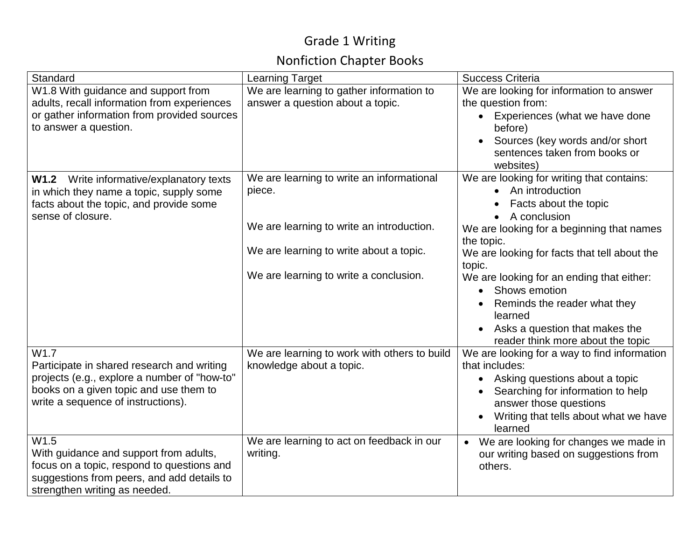# Nonfiction Chapter Books

| Standard                                                             | <b>Learning Target</b>                       | <b>Success Criteria</b>                                                                    |
|----------------------------------------------------------------------|----------------------------------------------|--------------------------------------------------------------------------------------------|
| W1.8 With guidance and support from                                  | We are learning to gather information to     | We are looking for information to answer                                                   |
| adults, recall information from experiences                          | answer a question about a topic.             | the question from:                                                                         |
| or gather information from provided sources<br>to answer a question. |                                              | Experiences (what we have done<br>before)                                                  |
|                                                                      |                                              | Sources (key words and/or short<br>$\bullet$<br>sentences taken from books or<br>websites) |
| Write informative/explanatory texts<br><b>W1.2</b>                   | We are learning to write an informational    | We are looking for writing that contains:                                                  |
| in which they name a topic, supply some                              | piece.                                       | • An introduction                                                                          |
| facts about the topic, and provide some                              |                                              | Facts about the topic                                                                      |
| sense of closure.                                                    |                                              | A conclusion                                                                               |
|                                                                      | We are learning to write an introduction.    | We are looking for a beginning that names                                                  |
|                                                                      |                                              | the topic.                                                                                 |
|                                                                      | We are learning to write about a topic.      | We are looking for facts that tell about the                                               |
|                                                                      | We are learning to write a conclusion.       | topic.                                                                                     |
|                                                                      |                                              | We are looking for an ending that either:                                                  |
|                                                                      |                                              | Shows emotion<br>$\bullet$                                                                 |
|                                                                      |                                              | Reminds the reader what they<br>learned                                                    |
|                                                                      |                                              | Asks a question that makes the<br>$\bullet$<br>reader think more about the topic           |
| W <sub>1.7</sub>                                                     | We are learning to work with others to build | We are looking for a way to find information                                               |
| Participate in shared research and writing                           | knowledge about a topic.                     | that includes:                                                                             |
| projects (e.g., explore a number of "how-to"                         |                                              | Asking questions about a topic<br>$\bullet$                                                |
| books on a given topic and use them to                               |                                              | Searching for information to help                                                          |
| write a sequence of instructions).                                   |                                              | answer those questions                                                                     |
|                                                                      |                                              | Writing that tells about what we have                                                      |
|                                                                      |                                              | learned                                                                                    |
| W1.5                                                                 | We are learning to act on feedback in our    | We are looking for changes we made in<br>$\bullet$                                         |
| With guidance and support from adults,                               | writing.                                     | our writing based on suggestions from                                                      |
| focus on a topic, respond to questions and                           |                                              | others.                                                                                    |
| suggestions from peers, and add details to                           |                                              |                                                                                            |
| strengthen writing as needed.                                        |                                              |                                                                                            |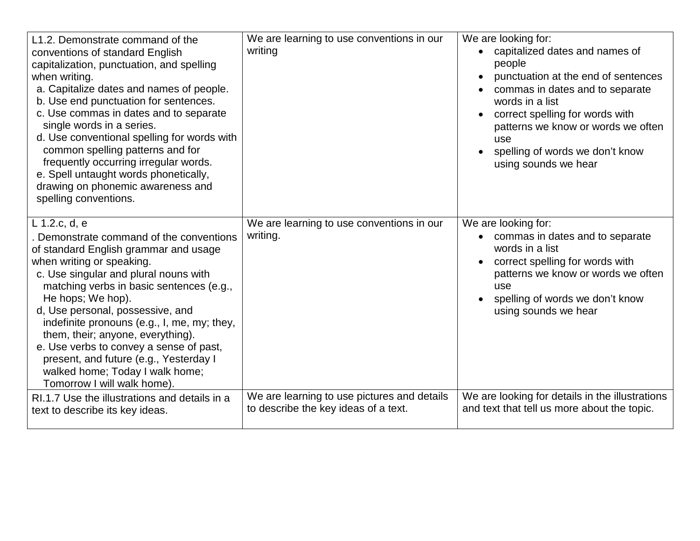| L1.2. Demonstrate command of the<br>conventions of standard English<br>capitalization, punctuation, and spelling<br>when writing.<br>a. Capitalize dates and names of people.<br>b. Use end punctuation for sentences.<br>c. Use commas in dates and to separate<br>single words in a series.<br>d. Use conventional spelling for words with<br>common spelling patterns and for<br>frequently occurring irregular words.<br>e. Spell untaught words phonetically,<br>drawing on phonemic awareness and<br>spelling conventions. | We are learning to use conventions in our<br>writing                                | We are looking for:<br>capitalized dates and names of<br>people<br>punctuation at the end of sentences<br>commas in dates and to separate<br>words in a list<br>correct spelling for words with<br>patterns we know or words we often<br>use<br>spelling of words we don't know<br>using sounds we hear |
|----------------------------------------------------------------------------------------------------------------------------------------------------------------------------------------------------------------------------------------------------------------------------------------------------------------------------------------------------------------------------------------------------------------------------------------------------------------------------------------------------------------------------------|-------------------------------------------------------------------------------------|---------------------------------------------------------------------------------------------------------------------------------------------------------------------------------------------------------------------------------------------------------------------------------------------------------|
| L 1.2.c, d, e<br>Demonstrate command of the conventions<br>of standard English grammar and usage<br>when writing or speaking.<br>c. Use singular and plural nouns with<br>matching verbs in basic sentences (e.g.,<br>He hops; We hop).<br>d, Use personal, possessive, and<br>indefinite pronouns (e.g., I, me, my; they,<br>them, their; anyone, everything).<br>e. Use verbs to convey a sense of past,<br>present, and future (e.g., Yesterday I<br>walked home; Today I walk home;<br>Tomorrow I will walk home).           | We are learning to use conventions in our<br>writing.                               | We are looking for:<br>• commas in dates and to separate<br>words in a list<br>correct spelling for words with<br>$\bullet$<br>patterns we know or words we often<br>use<br>spelling of words we don't know<br>using sounds we hear                                                                     |
| RI.1.7 Use the illustrations and details in a<br>text to describe its key ideas.                                                                                                                                                                                                                                                                                                                                                                                                                                                 | We are learning to use pictures and details<br>to describe the key ideas of a text. | We are looking for details in the illustrations<br>and text that tell us more about the topic.                                                                                                                                                                                                          |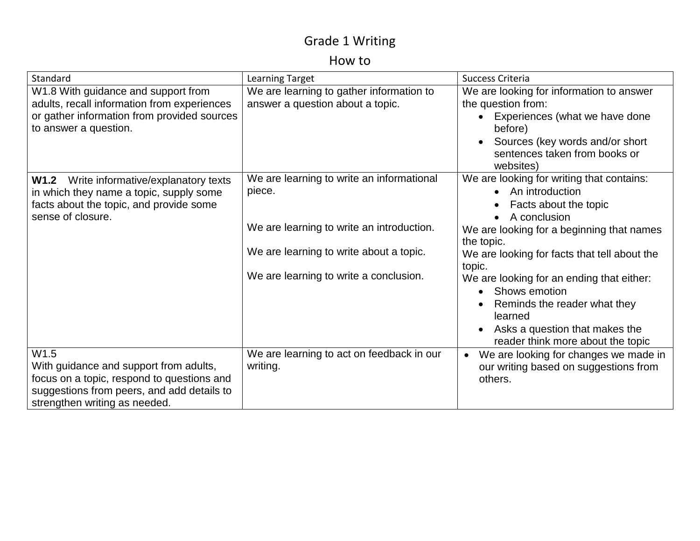#### How to

| Standard                                    | Learning Target                           | Success Criteria                             |
|---------------------------------------------|-------------------------------------------|----------------------------------------------|
| W1.8 With guidance and support from         | We are learning to gather information to  | We are looking for information to answer     |
| adults, recall information from experiences | answer a question about a topic.          | the question from:                           |
| or gather information from provided sources |                                           | Experiences (what we have done<br>$\bullet$  |
| to answer a question.                       |                                           | before)                                      |
|                                             |                                           | Sources (key words and/or short<br>$\bullet$ |
|                                             |                                           | sentences taken from books or                |
|                                             |                                           | websites)                                    |
| Write informative/explanatory texts<br>W1.2 | We are learning to write an informational | We are looking for writing that contains:    |
| in which they name a topic, supply some     | piece.                                    | An introduction                              |
| facts about the topic, and provide some     |                                           | Facts about the topic                        |
| sense of closure.                           |                                           | A conclusion                                 |
|                                             | We are learning to write an introduction. | We are looking for a beginning that names    |
|                                             |                                           | the topic.                                   |
|                                             | We are learning to write about a topic.   | We are looking for facts that tell about the |
|                                             |                                           | topic.                                       |
|                                             | We are learning to write a conclusion.    | We are looking for an ending that either:    |
|                                             |                                           | Shows emotion<br>$\bullet$                   |
|                                             |                                           | Reminds the reader what they                 |
|                                             |                                           | learned                                      |
|                                             |                                           | Asks a question that makes the<br>$\bullet$  |
|                                             |                                           | reader think more about the topic            |
| W <sub>1.5</sub>                            | We are learning to act on feedback in our | We are looking for changes we made in        |
| With guidance and support from adults,      | writing.                                  | our writing based on suggestions from        |
| focus on a topic, respond to questions and  |                                           | others.                                      |
| suggestions from peers, and add details to  |                                           |                                              |
| strengthen writing as needed.               |                                           |                                              |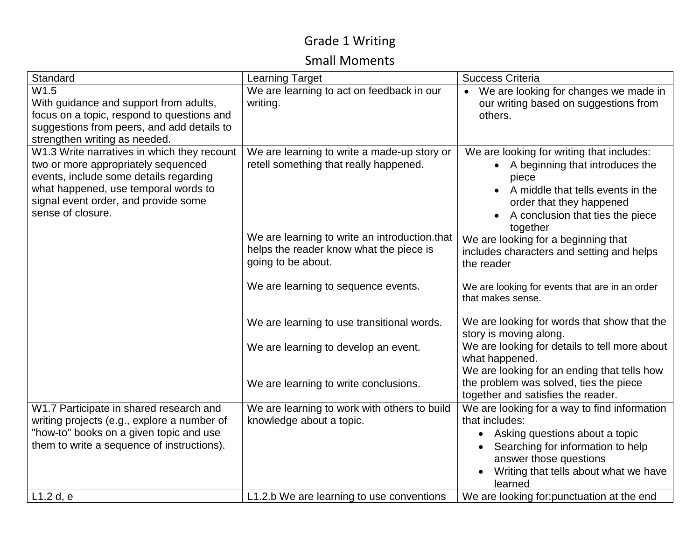#### Small Moments

| Standard                                                                                                                                                                                                                          | <b>Learning Target</b>                                                                                         | <b>Success Criteria</b>                                                                                                                                                                                                          |
|-----------------------------------------------------------------------------------------------------------------------------------------------------------------------------------------------------------------------------------|----------------------------------------------------------------------------------------------------------------|----------------------------------------------------------------------------------------------------------------------------------------------------------------------------------------------------------------------------------|
| W1.5<br>With guidance and support from adults,<br>focus on a topic, respond to questions and<br>suggestions from peers, and add details to<br>strengthen writing as needed.                                                       | We are learning to act on feedback in our<br>writing.                                                          | • We are looking for changes we made in<br>our writing based on suggestions from<br>others.                                                                                                                                      |
| W1.3 Write narratives in which they recount<br>two or more appropriately sequenced<br>events, include some details regarding<br>what happened, use temporal words to<br>signal event order, and provide some<br>sense of closure. | We are learning to write a made-up story or<br>retell something that really happened.                          | We are looking for writing that includes:<br>A beginning that introduces the<br>piece<br>A middle that tells events in the<br>order that they happened<br>A conclusion that ties the piece<br>together                           |
|                                                                                                                                                                                                                                   | We are learning to write an introduction.that<br>helps the reader know what the piece is<br>going to be about. | We are looking for a beginning that<br>includes characters and setting and helps<br>the reader                                                                                                                                   |
|                                                                                                                                                                                                                                   | We are learning to sequence events.                                                                            | We are looking for events that are in an order<br>that makes sense.                                                                                                                                                              |
|                                                                                                                                                                                                                                   | We are learning to use transitional words.                                                                     | We are looking for words that show that the<br>story is moving along.                                                                                                                                                            |
|                                                                                                                                                                                                                                   | We are learning to develop an event.                                                                           | We are looking for details to tell more about<br>what happened.<br>We are looking for an ending that tells how                                                                                                                   |
|                                                                                                                                                                                                                                   | We are learning to write conclusions.                                                                          | the problem was solved, ties the piece<br>together and satisfies the reader.                                                                                                                                                     |
| W1.7 Participate in shared research and<br>writing projects (e.g., explore a number of<br>"how-to" books on a given topic and use<br>them to write a sequence of instructions).                                                   | We are learning to work with others to build<br>knowledge about a topic.                                       | We are looking for a way to find information<br>that includes:<br>Asking questions about a topic<br>$\bullet$<br>Searching for information to help<br>answer those questions<br>Writing that tells about what we have<br>learned |
| L1.2 d, e                                                                                                                                                                                                                         | L1.2.b We are learning to use conventions                                                                      | We are looking for: punctuation at the end                                                                                                                                                                                       |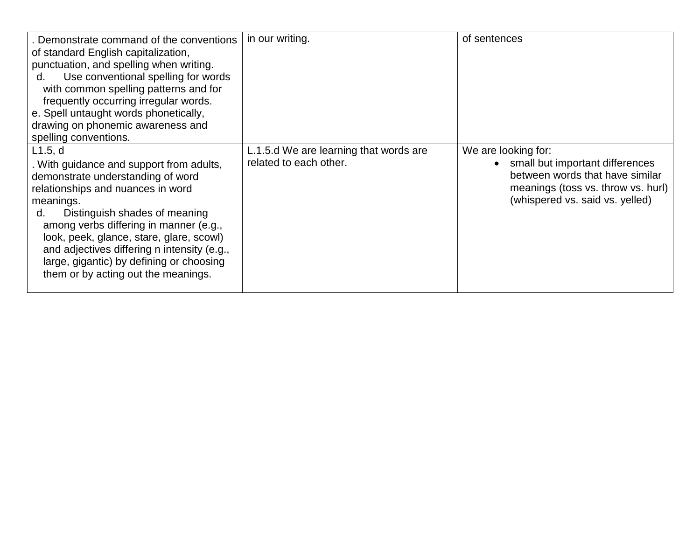| Demonstrate command of the conventions<br>of standard English capitalization,<br>punctuation, and spelling when writing.<br>Use conventional spelling for words<br>d.<br>with common spelling patterns and for<br>frequently occurring irregular words.<br>e. Spell untaught words phonetically,<br>drawing on phonemic awareness and<br>spelling conventions.                                            | in our writing.                                                  | of sentences                                                                                                                                                       |
|-----------------------------------------------------------------------------------------------------------------------------------------------------------------------------------------------------------------------------------------------------------------------------------------------------------------------------------------------------------------------------------------------------------|------------------------------------------------------------------|--------------------------------------------------------------------------------------------------------------------------------------------------------------------|
| L1.5, d<br>. With guidance and support from adults,<br>demonstrate understanding of word<br>relationships and nuances in word<br>meanings.<br>Distinguish shades of meaning<br>d.<br>among verbs differing in manner (e.g.,<br>look, peek, glance, stare, glare, scowl)<br>and adjectives differing n intensity (e.g.,<br>large, gigantic) by defining or choosing<br>them or by acting out the meanings. | L.1.5.d We are learning that words are<br>related to each other. | We are looking for:<br>small but important differences<br>between words that have similar<br>meanings (toss vs. throw vs. hurl)<br>(whispered vs. said vs. yelled) |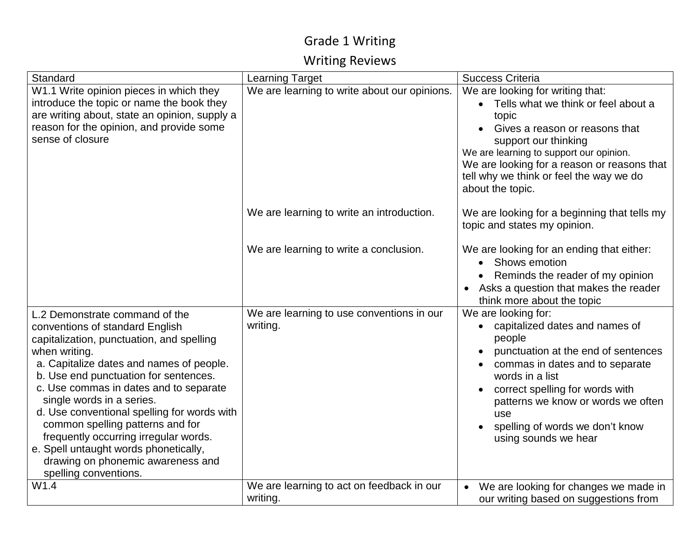## Writing Reviews

| Standard                                                                                                                                                                                                                                                                                                                                                                                                                                                                                                                       | <b>Learning Target</b>                                | <b>Success Criteria</b>                                                                                                                                                                                                                                                                                              |
|--------------------------------------------------------------------------------------------------------------------------------------------------------------------------------------------------------------------------------------------------------------------------------------------------------------------------------------------------------------------------------------------------------------------------------------------------------------------------------------------------------------------------------|-------------------------------------------------------|----------------------------------------------------------------------------------------------------------------------------------------------------------------------------------------------------------------------------------------------------------------------------------------------------------------------|
| W1.1 Write opinion pieces in which they<br>introduce the topic or name the book they<br>are writing about, state an opinion, supply a<br>reason for the opinion, and provide some<br>sense of closure                                                                                                                                                                                                                                                                                                                          | We are learning to write about our opinions.          | We are looking for writing that:<br>Tells what we think or feel about a<br>topic<br>Gives a reason or reasons that<br>support our thinking<br>We are learning to support our opinion.<br>We are looking for a reason or reasons that<br>tell why we think or feel the way we do<br>about the topic.                  |
|                                                                                                                                                                                                                                                                                                                                                                                                                                                                                                                                | We are learning to write an introduction.             | We are looking for a beginning that tells my<br>topic and states my opinion.                                                                                                                                                                                                                                         |
|                                                                                                                                                                                                                                                                                                                                                                                                                                                                                                                                | We are learning to write a conclusion.                | We are looking for an ending that either:<br><b>Shows emotion</b><br>$\bullet$<br>Reminds the reader of my opinion<br>• Asks a question that makes the reader<br>think more about the topic                                                                                                                          |
| L.2 Demonstrate command of the<br>conventions of standard English<br>capitalization, punctuation, and spelling<br>when writing.<br>a. Capitalize dates and names of people.<br>b. Use end punctuation for sentences.<br>c. Use commas in dates and to separate<br>single words in a series.<br>d. Use conventional spelling for words with<br>common spelling patterns and for<br>frequently occurring irregular words.<br>e. Spell untaught words phonetically,<br>drawing on phonemic awareness and<br>spelling conventions. | We are learning to use conventions in our<br>writing. | We are looking for:<br>capitalized dates and names of<br>$\bullet$<br>people<br>punctuation at the end of sentences<br>commas in dates and to separate<br>words in a list<br>correct spelling for words with<br>patterns we know or words we often<br>use<br>spelling of words we don't know<br>using sounds we hear |
| W1.4                                                                                                                                                                                                                                                                                                                                                                                                                                                                                                                           | We are learning to act on feedback in our<br>writing. | We are looking for changes we made in<br>$\bullet$<br>our writing based on suggestions from                                                                                                                                                                                                                          |